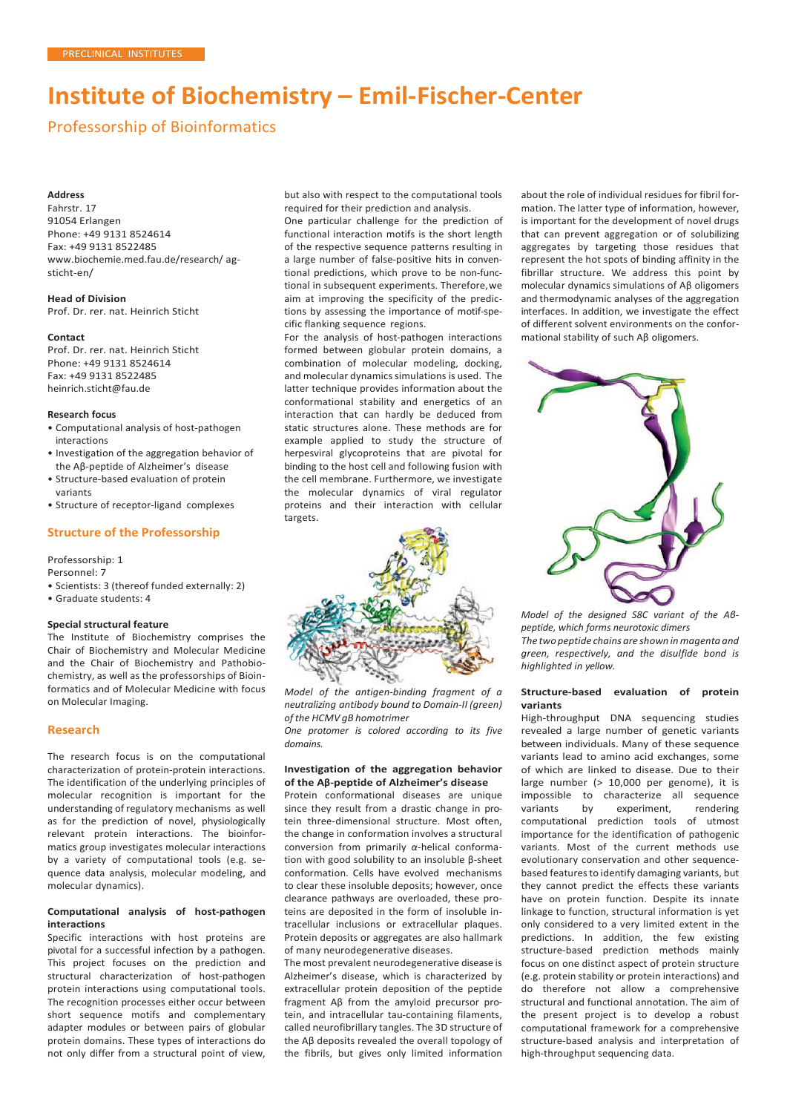# **Institute of Biochemistry – Emil-Fischer-Center**

Professorship of Bioinformatics

## **Address**

Fahrstr. 17 91054 Erlangen Phone: +49 9131 8524614 Fax: +49 9131 8522485 [www.biochemie.med.fau.de/research/](http://www.biochemie.med.fau.de/research/) agsticht-en/

**Head of Division** Prof. Dr. rer. nat. Heinrich Sticht

**Contact**

Prof. Dr. rer. nat. Heinrich Sticht Phone: +49 9131 8524614 Fax: +49 9131 8522485 [heinrich.sticht@fau.de](mailto:heinrich.sticht@fau.de)

## **Research focus**

- Computational analysis of host-pathogen interactions
- Investigation of the aggregation behavior of the Aβ-peptide of Alzheimer's disease
- Structure-based evaluation of protein variants
- Structure of receptor-ligand complexes

## **Structure of the Professorship**

Professorship: 1

Personnel: 7

- Scientists: 3 (thereof funded externally: 2)
- Graduate students: 4

## **Special structural feature**

The Institute of Biochemistry comprises the Chair of Biochemistry and Molecular Medicine and the Chair of Biochemistry and Pathobiochemistry, as well as the professorships of Bioinformatics and of Molecular Medicine with focus on Molecular Imaging.

## **Research**

The research focus is on the computational characterization of protein-protein interactions. The identification of the underlying principles of molecular recognition is important for the understanding of regulatory mechanisms as well as for the prediction of novel, physiologically relevant protein interactions. The bioinformatics group investigates molecular interactions by a variety of computational tools (e.g. sequence data analysis, molecular modeling, and molecular dynamics).

## **Computational analysis of host-pathogen interactions**

Specific interactions with host proteins are pivotal for a successful infection by a pathogen. This project focuses on the prediction and structural characterization of host-pathogen protein interactions using computational tools. The recognition processes either occur between short sequence motifs and complementary adapter modules or between pairs of globular protein domains. These types of interactions do not only differ from a structural point of view, but also with respect to the computational tools required for their prediction and analysis.

One particular challenge for the prediction of functional interaction motifs is the short length of the respective sequence patterns resulting in a large number of false-positive hits in conventional predictions, which prove to be non-functional in subsequent experiments. Therefore,we aim at improving the specificity of the predictions by assessing the importance of motif-specific flanking sequence regions.

For the analysis of host-pathogen interactions formed between globular protein domains, a combination of molecular modeling, docking, and molecular dynamics simulations is used. The latter technique provides information about the conformational stability and energetics of an interaction that can hardly be deduced from static structures alone. These methods are for example applied to study the structure of herpesviral glycoproteins that are pivotal for binding to the host cell and following fusion with the cell membrane. Furthermore, we investigate the molecular dynamics of viral regulator proteins and their interaction with cellular targets.



*Model of the antigen-binding fragment of a neutralizing antibody bound to Domain-II (green) of the HCMV gB homotrimer*

*One protomer is colored according to its five domains.*

## **Investigation of the aggregation behavior of the Aβ-peptide of Alzheimer's disease**

Protein conformational diseases are unique since they result from a drastic change in protein three-dimensional structure. Most often, the change in conformation involves a structural conversion from primarily *α*-helical conformation with good solubility to an insoluble β-sheet conformation. Cells have evolved mechanisms to clear these insoluble deposits; however, once clearance pathways are overloaded, these proteins are deposited in the form of insoluble intracellular inclusions or extracellular plaques. Protein deposits or aggregates are also hallmark of many neurodegenerative diseases.

The most prevalent neurodegenerative disease is Alzheimer's disease, which is characterized by extracellular protein deposition of the peptide fragment Aβ from the amyloid precursor protein, and intracellular tau-containing filaments, called neurofibrillary tangles. The 3D structure of the Aβ deposits revealed the overall topology of the fibrils, but gives only limited information

about the role of individual residues for fibril formation. The latter type of information, however, is important for the development of novel drugs that can prevent aggregation or of solubilizing aggregates by targeting those residues that represent the hot spots of binding affinity in the fibrillar structure. We address this point by molecular dynamics simulations of Aβ oligomers and thermodynamic analyses of the aggregation interfaces. In addition, we investigate the effect of different solvent environments on the conformational stability of such Aβ oligomers.



*Model of the designed S8C variant of the Aβpeptide, which forms neurotoxic dimers The twopeptide chains are shown inmagenta and green, respectively, and the disulfide bond is highlighted in yellow.*

## **Structure-based evaluation of protein variants**

High-throughput DNA sequencing studies revealed a large number of genetic variants between individuals. Many of these sequence variants lead to amino acid exchanges, some of which are linked to disease. Due to their large number (> 10,000 per genome), it is impossible to characterize all sequence variants by experiment, rendering computational prediction tools of utmost importance for the identification of pathogenic variants. Most of the current methods use evolutionary conservation and other sequencebased features to identify damaging variants, but they cannot predict the effects these variants have on protein function. Despite its innate linkage to function, structural information is yet only considered to a very limited extent in the predictions. In addition, the few existing structure-based prediction methods mainly focus on one distinct aspect of protein structure (e.g. protein stability or protein interactions) and do therefore not allow a comprehensive structural and functional annotation. The aim of the present project is to develop a robust computational framework for a comprehensive structure-based analysis and interpretation of high-throughput sequencing data.